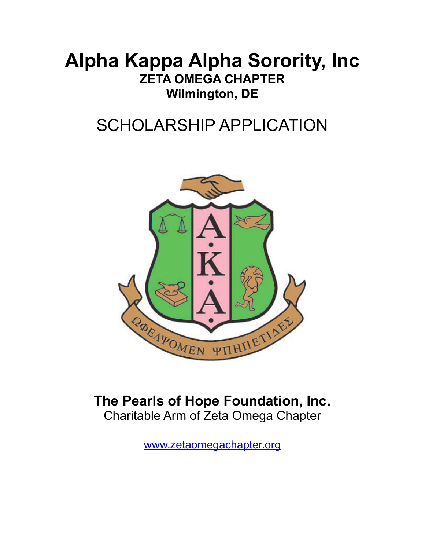# **Alpha Kappa Alpha Sorority, Inc ZETA OMEGA CHAPTER Wilmington, DE**

# SCHOLARSHIP APPLICATION



### **The Pearls of Hope Foundation, Inc.** Charitable Arm of Zeta Omega Chapter

[www.zetaomegachapter.org](http://www.zetaomegachapter.org)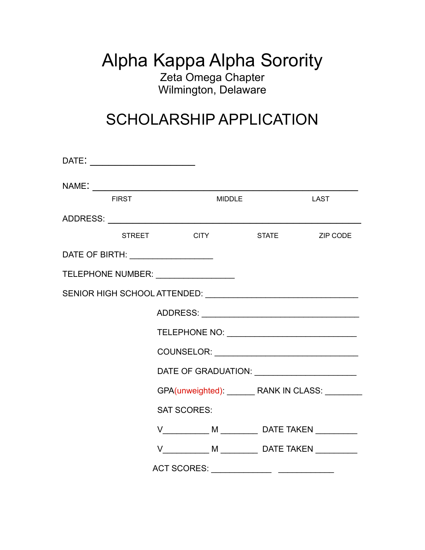### Alpha Kappa Alpha Sorority Zeta Omega Chapter Wilmington, Delaware

## SCHOLARSHIP APPLICATION

| <b>FIRST</b>                               |                                                 | <b>MIDDLE</b> |  | LAST                                                 |  |
|--------------------------------------------|-------------------------------------------------|---------------|--|------------------------------------------------------|--|
|                                            |                                                 |               |  |                                                      |  |
|                                            | <b>STREET</b>                                   | <b>CITY</b>   |  | STATE ZIP CODE                                       |  |
| DATE OF BIRTH: <u>____________________</u> |                                                 |               |  |                                                      |  |
| TELEPHONE NUMBER: _________________        |                                                 |               |  |                                                      |  |
|                                            |                                                 |               |  |                                                      |  |
|                                            |                                                 |               |  |                                                      |  |
|                                            |                                                 |               |  |                                                      |  |
|                                            |                                                 |               |  |                                                      |  |
|                                            |                                                 |               |  |                                                      |  |
|                                            | GPA(unweighted): _______ RANK IN CLASS: _______ |               |  |                                                      |  |
|                                            | <b>SAT SCORES:</b>                              |               |  |                                                      |  |
|                                            |                                                 |               |  | V______________ M ___________ DATE TAKEN ___________ |  |
|                                            |                                                 |               |  | V______________ M ___________ DATE TAKEN ___________ |  |
|                                            | <b>ACT SCORES:</b>                              |               |  |                                                      |  |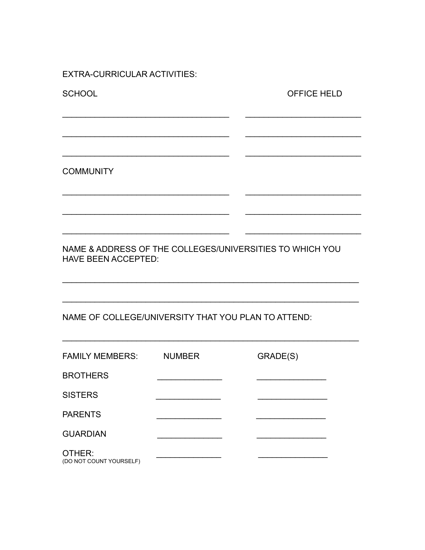**EXTRA-CURRICULAR ACTIVITIES:** 

**SCHOOL** 

OFFICE HELD

**COMMUNITY** 

NAME & ADDRESS OF THE COLLEGES/UNIVERSITIES TO WHICH YOU **HAVE BEEN ACCEPTED:** 

NAME OF COLLEGE/UNIVERSITY THAT YOU PLAN TO ATTEND:

| <b>FAMILY MEMBERS:</b>            | <b>NUMBER</b> | GRADE(S) |
|-----------------------------------|---------------|----------|
| <b>BROTHERS</b>                   |               |          |
| <b>SISTERS</b>                    |               |          |
| <b>PARENTS</b>                    |               |          |
| <b>GUARDIAN</b>                   |               |          |
| OTHER:<br>(DO NOT COUNT YOURSELF) |               |          |